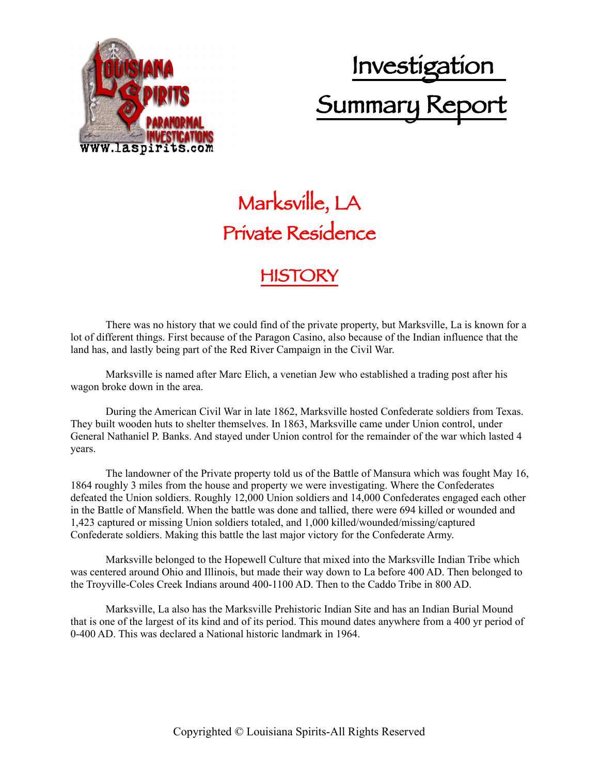

# Investigation Summary Report

## Marksville, LA Private Residence

### **HISTORY**

There was no history that we could find of the private property, but Marksville, La is known for a lot of different things. First because of the Paragon Casino, also because of the Indian influence that the land has, and lastly being part of the Red River Campaign in the Civil War.

Marksville is named after Marc Elich, a venetian Jew who established a trading post after his wagon broke down in the area.

During the American Civil War in late 1862, Marksville hosted Confederate soldiers from Texas. They built wooden huts to shelter themselves. In 1863, Marksville came under Union control, under General Nathaniel P. Banks. And stayed under Union control for the remainder of the war which lasted 4 years.

The landowner of the Private property told us of the Battle of Mansura which was fought May 16, 1864 roughly 3 miles from the house and property we were investigating. Where the Confederates defeated the Union soldiers. Roughly 12,000 Union soldiers and 14,000 Confederates engaged each other in the Battle of Mansfield. When the battle was done and tallied, there were 694 killed or wounded and 1,423 captured or missing Union soldiers totaled, and 1,000 killed/wounded/missing/captured Confederate soldiers. Making this battle the last major victory for the Confederate Army.

Marksville belonged to the Hopewell Culture that mixed into the Marksville Indian Tribe which was centered around Ohio and Illinois, but made their way down to La before 400 AD. Then belonged to the Troyville-Coles Creek Indians around 400-1100 AD. Then to the Caddo Tribe in 800 AD.

Marksville, La also has the Marksville Prehistoric Indian Site and has an Indian Burial Mound that is one of the largest of its kind and of its period. This mound dates anywhere from a 400 yr period of 0-400 AD. This was declared a National historic landmark in 1964.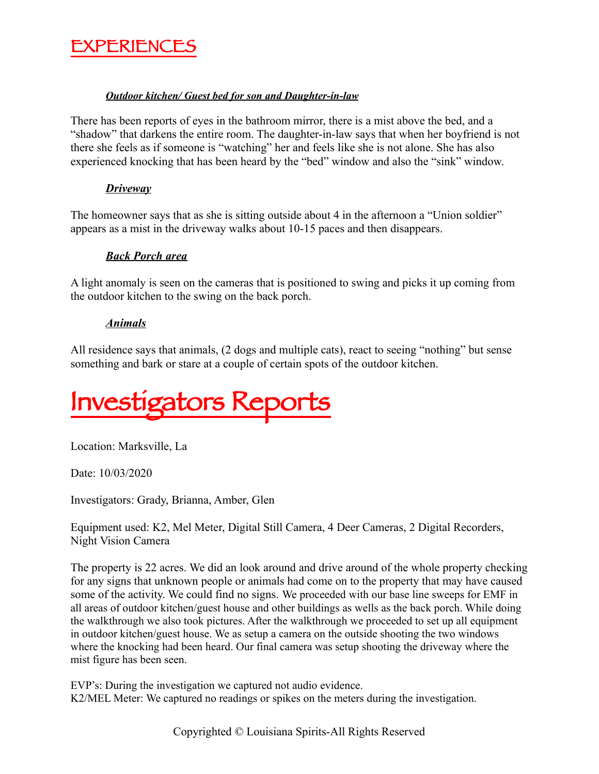

#### *Outdoor kitchen/ Guest bed for son and Daughter-in-law*

There has been reports of eyes in the bathroom mirror, there is a mist above the bed, and a "shadow" that darkens the entire room. The daughter-in-law says that when her boyfriend is not there she feels as if someone is "watching" her and feels like she is not alone. She has also experienced knocking that has been heard by the "bed" window and also the "sink" window.

#### *Driveway*

The homeowner says that as she is sitting outside about 4 in the afternoon a "Union soldier" appears as a mist in the driveway walks about 10-15 paces and then disappears.

#### *Back Porch area*

A light anomaly is seen on the cameras that is positioned to swing and picks it up coming from the outdoor kitchen to the swing on the back porch.

#### *Animals*

All residence says that animals, (2 dogs and multiple cats), react to seeing "nothing" but sense something and bark or stare at a couple of certain spots of the outdoor kitchen.

Investigators Reports

Location: Marksville, La

Date: 10/03/2020

Investigators: Grady, Brianna, Amber, Glen

Equipment used: K2, Mel Meter, Digital Still Camera, 4 Deer Cameras, 2 Digital Recorders, Night Vision Camera

The property is 22 acres. We did an look around and drive around of the whole property checking for any signs that unknown people or animals had come on to the property that may have caused some of the activity. We could find no signs. We proceeded with our base line sweeps for EMF in all areas of outdoor kitchen/guest house and other buildings as wells as the back porch. While doing the walkthrough we also took pictures. After the walkthrough we proceeded to set up all equipment in outdoor kitchen/guest house. We as setup a camera on the outside shooting the two windows where the knocking had been heard. Our final camera was setup shooting the driveway where the mist figure has been seen.

EVP's: During the investigation we captured not audio evidence. K2/MEL Meter: We captured no readings or spikes on the meters during the investigation.

Copyrighted © Louisiana Spirits-All Rights Reserved